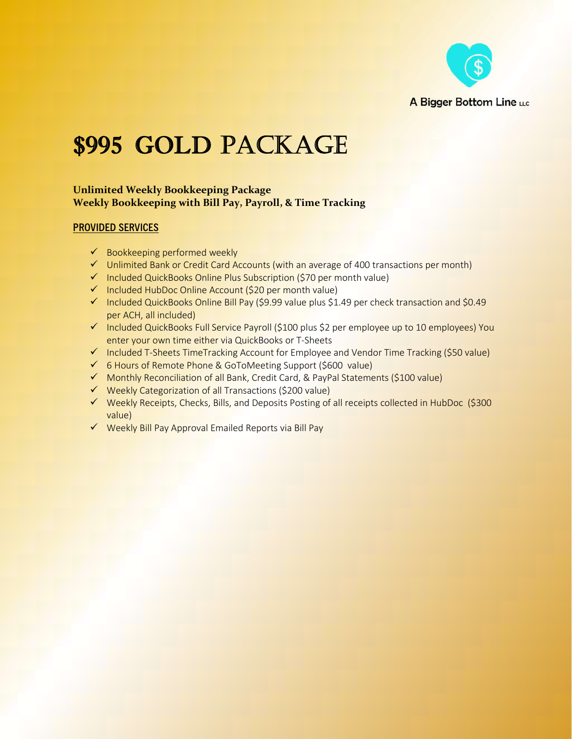

## \$995 GOLD PACKAGE

## **Unlimited Weekly Bookkeeping Package Weekly Bookkeeping with Bill Pay, Payroll, & Time Tracking**

## **PROVIDED SERVICES**

- $\checkmark$  Bookkeeping performed weekly
- $\checkmark$  Unlimited Bank or Credit Card Accounts (with an average of 400 transactions per month)
- $\checkmark$  Included QuickBooks Online Plus Subscription (\$70 per month value)
- $\checkmark$  Included HubDoc Online Account (\$20 per month value)
- $\checkmark$  Included QuickBooks Online Bill Pay (\$9.99 value plus \$1.49 per check transaction and \$0.49 per ACH, all included)
- $\checkmark$  Included QuickBooks Full Service Payroll (\$100 plus \$2 per employee up to 10 employees) You enter your own time either via QuickBooks or T-Sheets
- $\checkmark$  Included T-Sheets TimeTracking Account for Employee and Vendor Time Tracking (\$50 value)
- 6 Hours of Remote Phone & GoToMeeting Support (\$600 value)
- ◆ Monthly Reconciliation of all Bank, Credit Card, & PayPal Statements (\$100 value)
- $\checkmark$  Weekly Categorization of all Transactions (\$200 value)
- ◆ Weekly Receipts, Checks, Bills, and Deposits Posting of all receipts collected in HubDoc (\$300 value)
- $\checkmark$  Weekly Bill Pay Approval Emailed Reports via Bill Pay